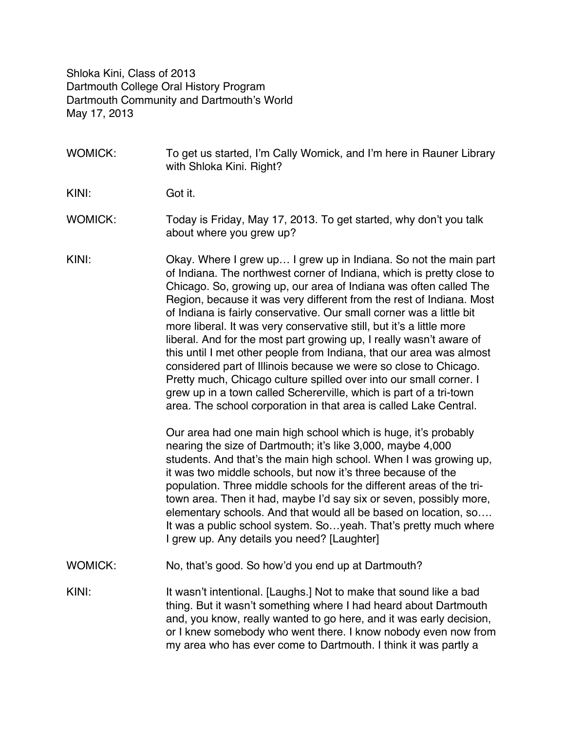Shloka Kini, Class of 2013 Dartmouth College Oral History Program Dartmouth Community and Dartmouth's World May 17, 2013

WOMICK: To get us started, I'm Cally Womick, and I'm here in Rauner Library with Shloka Kini. Right?

KINI: Got it.

- WOMICK: Today is Friday, May 17, 2013. To get started, why don't you talk about where you grew up?
- KINI: Okay. Where I grew up… I grew up in Indiana. So not the main part of Indiana. The northwest corner of Indiana, which is pretty close to Chicago. So, growing up, our area of Indiana was often called The Region, because it was very different from the rest of Indiana. Most of Indiana is fairly conservative. Our small corner was a little bit more liberal. It was very conservative still, but it's a little more liberal. And for the most part growing up, I really wasn't aware of this until I met other people from Indiana, that our area was almost considered part of Illinois because we were so close to Chicago. Pretty much, Chicago culture spilled over into our small corner. I grew up in a town called Schererville, which is part of a tri-town area. The school corporation in that area is called Lake Central.

Our area had one main high school which is huge, it's probably nearing the size of Dartmouth; it's like 3,000, maybe 4,000 students. And that's the main high school. When I was growing up, it was two middle schools, but now it's three because of the population. Three middle schools for the different areas of the tritown area. Then it had, maybe I'd say six or seven, possibly more, elementary schools. And that would all be based on location, so…. It was a public school system. So…yeah. That's pretty much where I grew up. Any details you need? [Laughter]

WOMICK: No, that's good. So how'd you end up at Dartmouth?

KINI: It wasn't intentional. [Laughs.] Not to make that sound like a bad thing. But it wasn't something where I had heard about Dartmouth and, you know, really wanted to go here, and it was early decision, or I knew somebody who went there. I know nobody even now from my area who has ever come to Dartmouth. I think it was partly a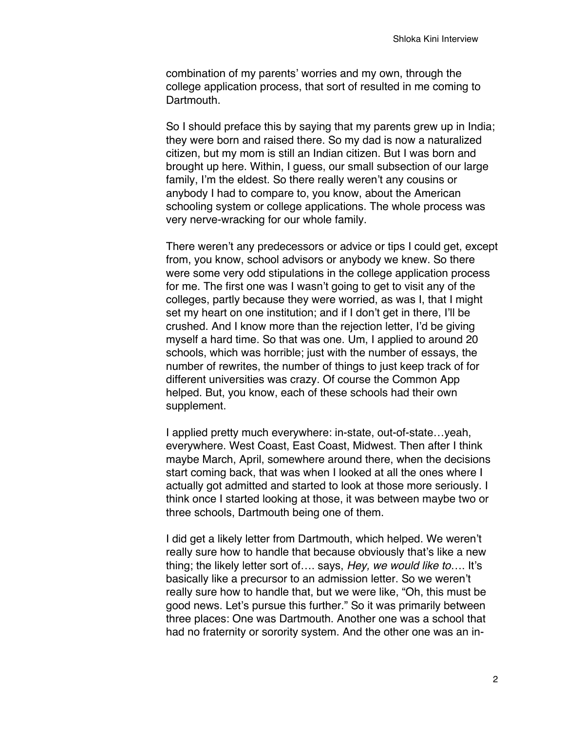combination of my parents' worries and my own, through the college application process, that sort of resulted in me coming to Dartmouth.

So I should preface this by saying that my parents grew up in India; they were born and raised there. So my dad is now a naturalized citizen, but my mom is still an Indian citizen. But I was born and brought up here. Within, I guess, our small subsection of our large family, I'm the eldest. So there really weren't any cousins or anybody I had to compare to, you know, about the American schooling system or college applications. The whole process was very nerve-wracking for our whole family.

There weren't any predecessors or advice or tips I could get, except from, you know, school advisors or anybody we knew. So there were some very odd stipulations in the college application process for me. The first one was I wasn't going to get to visit any of the colleges, partly because they were worried, as was I, that I might set my heart on one institution; and if I don't get in there, I'll be crushed. And I know more than the rejection letter, I'd be giving myself a hard time. So that was one. Um, I applied to around 20 schools, which was horrible; just with the number of essays, the number of rewrites, the number of things to just keep track of for different universities was crazy. Of course the Common App helped. But, you know, each of these schools had their own supplement.

I applied pretty much everywhere: in-state, out-of-state…yeah, everywhere. West Coast, East Coast, Midwest. Then after I think maybe March, April, somewhere around there, when the decisions start coming back, that was when I looked at all the ones where I actually got admitted and started to look at those more seriously. I think once I started looking at those, it was between maybe two or three schools, Dartmouth being one of them.

I did get a likely letter from Dartmouth, which helped. We weren't really sure how to handle that because obviously that's like a new thing; the likely letter sort of…. says, *Hey, we would like to*…. It's basically like a precursor to an admission letter. So we weren't really sure how to handle that, but we were like, "Oh, this must be good news. Let's pursue this further." So it was primarily between three places: One was Dartmouth. Another one was a school that had no fraternity or sorority system. And the other one was an in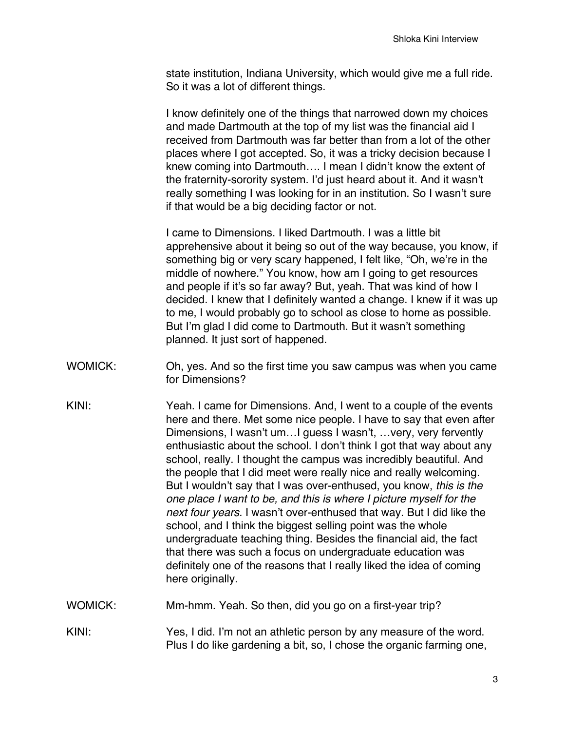state institution, Indiana University, which would give me a full ride. So it was a lot of different things.

I know definitely one of the things that narrowed down my choices and made Dartmouth at the top of my list was the financial aid I received from Dartmouth was far better than from a lot of the other places where I got accepted. So, it was a tricky decision because I knew coming into Dartmouth…. I mean I didn't know the extent of the fraternity-sorority system. I'd just heard about it. And it wasn't really something I was looking for in an institution. So I wasn't sure if that would be a big deciding factor or not.

I came to Dimensions. I liked Dartmouth. I was a little bit apprehensive about it being so out of the way because, you know, if something big or very scary happened, I felt like, "Oh, we're in the middle of nowhere." You know, how am I going to get resources and people if it's so far away? But, yeah. That was kind of how I decided. I knew that I definitely wanted a change. I knew if it was up to me, I would probably go to school as close to home as possible. But I'm glad I did come to Dartmouth. But it wasn't something planned. It just sort of happened.

- WOMICK: Oh, yes. And so the first time you saw campus was when you came for Dimensions?
- KINI: Yeah. I came for Dimensions. And, I went to a couple of the events here and there. Met some nice people. I have to say that even after Dimensions, I wasn't um…I guess I wasn't, …very, very fervently enthusiastic about the school. I don't think I got that way about any school, really. I thought the campus was incredibly beautiful. And the people that I did meet were really nice and really welcoming. But I wouldn't say that I was over-enthused, you know, *this is the one place I want to be, and this is where I picture myself for the next four years.* I wasn't over-enthused that way. But I did like the school, and I think the biggest selling point was the whole undergraduate teaching thing. Besides the financial aid, the fact that there was such a focus on undergraduate education was definitely one of the reasons that I really liked the idea of coming here originally.
- WOMICK: Mm-hmm. Yeah. So then, did you go on a first-year trip?
- KINI: Yes, I did. I'm not an athletic person by any measure of the word. Plus I do like gardening a bit, so, I chose the organic farming one,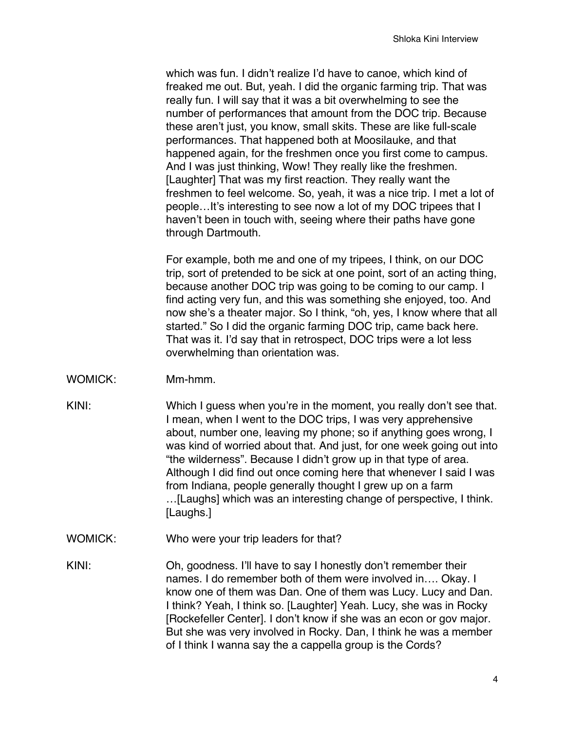which was fun. I didn't realize I'd have to canoe, which kind of freaked me out. But, yeah. I did the organic farming trip. That was really fun. I will say that it was a bit overwhelming to see the number of performances that amount from the DOC trip. Because these aren't just, you know, small skits. These are like full-scale performances. That happened both at Moosilauke, and that happened again, for the freshmen once you first come to campus. And I was just thinking, Wow! They really like the freshmen. [Laughter] That was my first reaction. They really want the freshmen to feel welcome. So, yeah, it was a nice trip. I met a lot of people…It's interesting to see now a lot of my DOC tripees that I haven't been in touch with, seeing where their paths have gone through Dartmouth.

For example, both me and one of my tripees, I think, on our DOC trip, sort of pretended to be sick at one point, sort of an acting thing, because another DOC trip was going to be coming to our camp. I find acting very fun, and this was something she enjoyed, too. And now she's a theater major. So I think, "oh, yes, I know where that all started." So I did the organic farming DOC trip, came back here. That was it. I'd say that in retrospect, DOC trips were a lot less overwhelming than orientation was.

- WOMICK: Mm-hmm.
- KINI: Which I guess when you're in the moment, you really don't see that. I mean, when I went to the DOC trips, I was very apprehensive about, number one, leaving my phone; so if anything goes wrong, I was kind of worried about that. And just, for one week going out into "the wilderness". Because I didn't grow up in that type of area. Although I did find out once coming here that whenever I said I was from Indiana, people generally thought I grew up on a farm …[Laughs] which was an interesting change of perspective, I think.
	- WOMICK: Who were your trip leaders for that?

[Laughs.]

KINI: Oh, goodness. I'll have to say I honestly don't remember their names. I do remember both of them were involved in…. Okay. I know one of them was Dan. One of them was Lucy. Lucy and Dan. I think? Yeah, I think so. [Laughter] Yeah. Lucy, she was in Rocky [Rockefeller Center]. I don't know if she was an econ or gov major. But she was very involved in Rocky. Dan, I think he was a member of I think I wanna say the a cappella group is the Cords?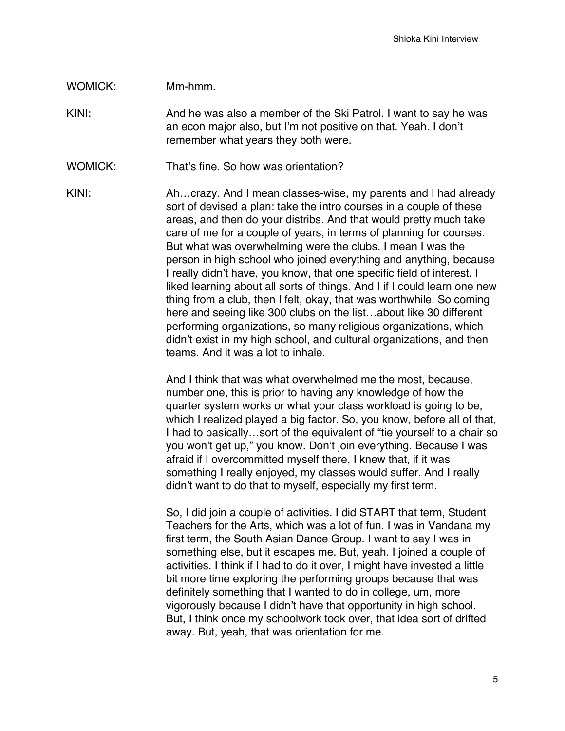## WOMICK: Mm-hmm.

KINI: And he was also a member of the Ski Patrol. I want to say he was an econ major also, but I'm not positive on that. Yeah. I don't remember what years they both were.

WOMICK: That's fine. So how was orientation?

KINI: Ah...crazy. And I mean classes-wise, my parents and I had already sort of devised a plan: take the intro courses in a couple of these areas, and then do your distribs. And that would pretty much take care of me for a couple of years, in terms of planning for courses. But what was overwhelming were the clubs. I mean I was the person in high school who joined everything and anything, because I really didn't have, you know, that one specific field of interest. I liked learning about all sorts of things. And I if I could learn one new thing from a club, then I felt, okay, that was worthwhile. So coming here and seeing like 300 clubs on the list…about like 30 different performing organizations, so many religious organizations, which didn't exist in my high school, and cultural organizations, and then teams. And it was a lot to inhale.

> And I think that was what overwhelmed me the most, because, number one, this is prior to having any knowledge of how the quarter system works or what your class workload is going to be, which I realized played a big factor. So, you know, before all of that, I had to basically…sort of the equivalent of "tie yourself to a chair so you won't get up," you know. Don't join everything. Because I was afraid if I overcommitted myself there, I knew that, if it was something I really enjoyed, my classes would suffer. And I really didn't want to do that to myself, especially my first term.

So, I did join a couple of activities. I did START that term, Student Teachers for the Arts, which was a lot of fun. I was in Vandana my first term, the South Asian Dance Group. I want to say I was in something else, but it escapes me. But, yeah. I joined a couple of activities. I think if I had to do it over, I might have invested a little bit more time exploring the performing groups because that was definitely something that I wanted to do in college, um, more vigorously because I didn't have that opportunity in high school. But, I think once my schoolwork took over, that idea sort of drifted away. But, yeah, that was orientation for me.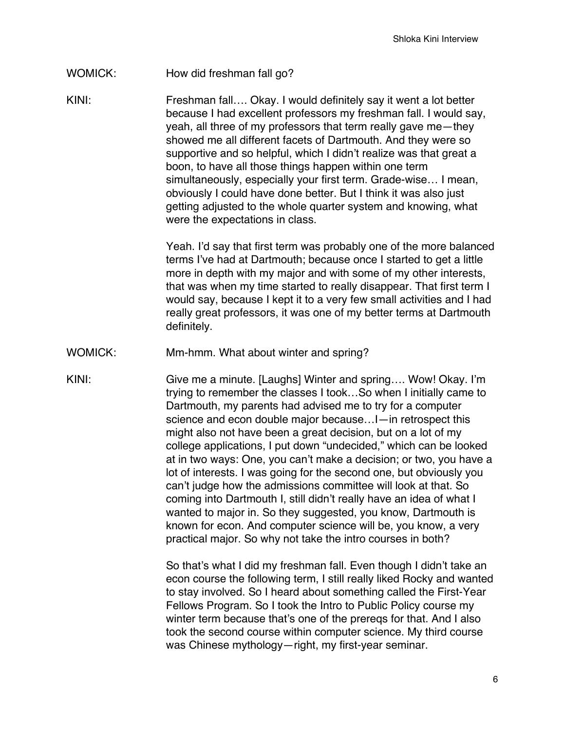## WOMICK: How did freshman fall go?

KINI: Freshman fall…. Okay. I would definitely say it went a lot better because I had excellent professors my freshman fall. I would say, yeah, all three of my professors that term really gave me—they showed me all different facets of Dartmouth. And they were so supportive and so helpful, which I didn't realize was that great a boon, to have all those things happen within one term simultaneously, especially your first term. Grade-wise… I mean, obviously I could have done better. But I think it was also just getting adjusted to the whole quarter system and knowing, what were the expectations in class.

> Yeah. I'd say that first term was probably one of the more balanced terms I've had at Dartmouth; because once I started to get a little more in depth with my major and with some of my other interests, that was when my time started to really disappear. That first term I would say, because I kept it to a very few small activities and I had really great professors, it was one of my better terms at Dartmouth definitely.

- WOMICK: Mm-hmm. What about winter and spring?
- KINI: Give me a minute. [Laughs] Winter and spring.... Wow! Okay. I'm trying to remember the classes I took…So when I initially came to Dartmouth, my parents had advised me to try for a computer science and econ double major because…I—in retrospect this might also not have been a great decision, but on a lot of my college applications, I put down "undecided," which can be looked at in two ways: One, you can't make a decision; or two, you have a lot of interests. I was going for the second one, but obviously you can't judge how the admissions committee will look at that. So coming into Dartmouth I, still didn't really have an idea of what I wanted to major in. So they suggested, you know, Dartmouth is known for econ. And computer science will be, you know, a very practical major. So why not take the intro courses in both?

So that's what I did my freshman fall. Even though I didn't take an econ course the following term, I still really liked Rocky and wanted to stay involved. So I heard about something called the First-Year Fellows Program. So I took the Intro to Public Policy course my winter term because that's one of the prereqs for that. And I also took the second course within computer science. My third course was Chinese mythology—right, my first-year seminar.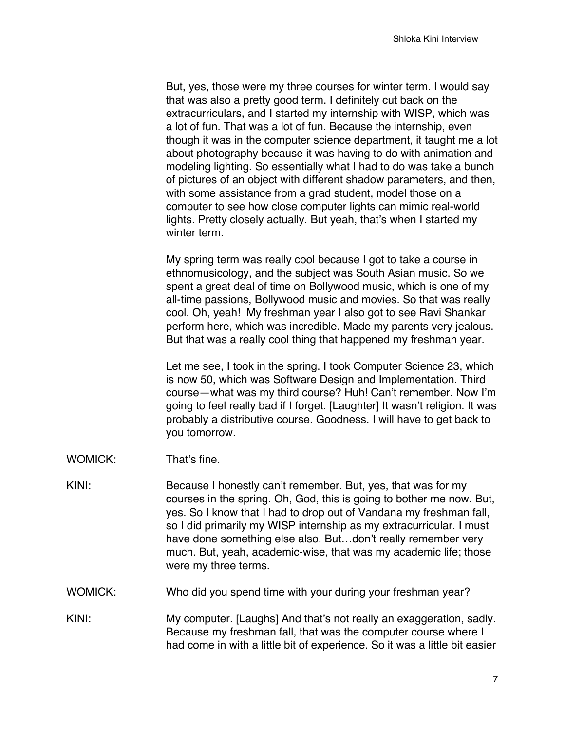But, yes, those were my three courses for winter term. I would say that was also a pretty good term. I definitely cut back on the extracurriculars, and I started my internship with WISP, which was a lot of fun. That was a lot of fun. Because the internship, even though it was in the computer science department, it taught me a lot about photography because it was having to do with animation and modeling lighting. So essentially what I had to do was take a bunch of pictures of an object with different shadow parameters, and then, with some assistance from a grad student, model those on a computer to see how close computer lights can mimic real-world lights. Pretty closely actually. But yeah, that's when I started my winter term.

My spring term was really cool because I got to take a course in ethnomusicology, and the subject was South Asian music. So we spent a great deal of time on Bollywood music, which is one of my all-time passions, Bollywood music and movies. So that was really cool. Oh, yeah! My freshman year I also got to see Ravi Shankar perform here, which was incredible. Made my parents very jealous. But that was a really cool thing that happened my freshman year.

Let me see, I took in the spring. I took Computer Science 23, which is now 50, which was Software Design and Implementation. Third course—what was my third course? Huh! Can't remember. Now I'm going to feel really bad if I forget. [Laughter] It wasn't religion. It was probably a distributive course. Goodness. I will have to get back to you tomorrow.

- WOMICK: That's fine.
- KINI: Because I honestly can't remember. But, yes, that was for my courses in the spring. Oh, God, this is going to bother me now. But, yes. So I know that I had to drop out of Vandana my freshman fall, so I did primarily my WISP internship as my extracurricular. I must have done something else also. But...don't really remember very much. But, yeah, academic-wise, that was my academic life; those were my three terms.
- WOMICK: Who did you spend time with your during your freshman year?
- KINI: My computer. [Laughs] And that's not really an exaggeration, sadly. Because my freshman fall, that was the computer course where I had come in with a little bit of experience. So it was a little bit easier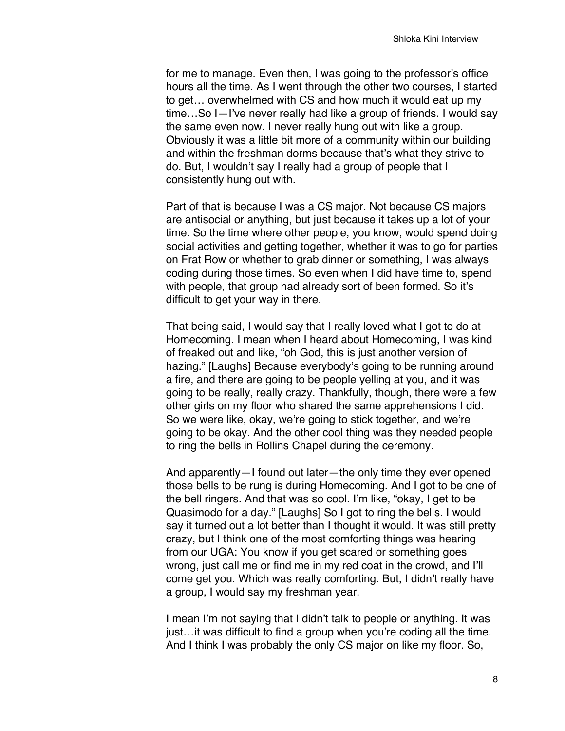for me to manage. Even then, I was going to the professor's office hours all the time. As I went through the other two courses, I started to get… overwhelmed with CS and how much it would eat up my time…So I—I've never really had like a group of friends. I would say the same even now. I never really hung out with like a group. Obviously it was a little bit more of a community within our building and within the freshman dorms because that's what they strive to do. But, I wouldn't say I really had a group of people that I consistently hung out with.

Part of that is because I was a CS major. Not because CS majors are antisocial or anything, but just because it takes up a lot of your time. So the time where other people, you know, would spend doing social activities and getting together, whether it was to go for parties on Frat Row or whether to grab dinner or something, I was always coding during those times. So even when I did have time to, spend with people, that group had already sort of been formed. So it's difficult to get your way in there.

That being said, I would say that I really loved what I got to do at Homecoming. I mean when I heard about Homecoming, I was kind of freaked out and like, "oh God, this is just another version of hazing." [Laughs] Because everybody's going to be running around a fire, and there are going to be people yelling at you, and it was going to be really, really crazy. Thankfully, though, there were a few other girls on my floor who shared the same apprehensions I did. So we were like, okay, we're going to stick together, and we're going to be okay. And the other cool thing was they needed people to ring the bells in Rollins Chapel during the ceremony.

And apparently—I found out later—the only time they ever opened those bells to be rung is during Homecoming. And I got to be one of the bell ringers. And that was so cool. I'm like, "okay, I get to be Quasimodo for a day." [Laughs] So I got to ring the bells. I would say it turned out a lot better than I thought it would. It was still pretty crazy, but I think one of the most comforting things was hearing from our UGA: You know if you get scared or something goes wrong, just call me or find me in my red coat in the crowd, and I'll come get you. Which was really comforting. But, I didn't really have a group, I would say my freshman year.

I mean I'm not saying that I didn't talk to people or anything. It was just…it was difficult to find a group when you're coding all the time. And I think I was probably the only CS major on like my floor. So,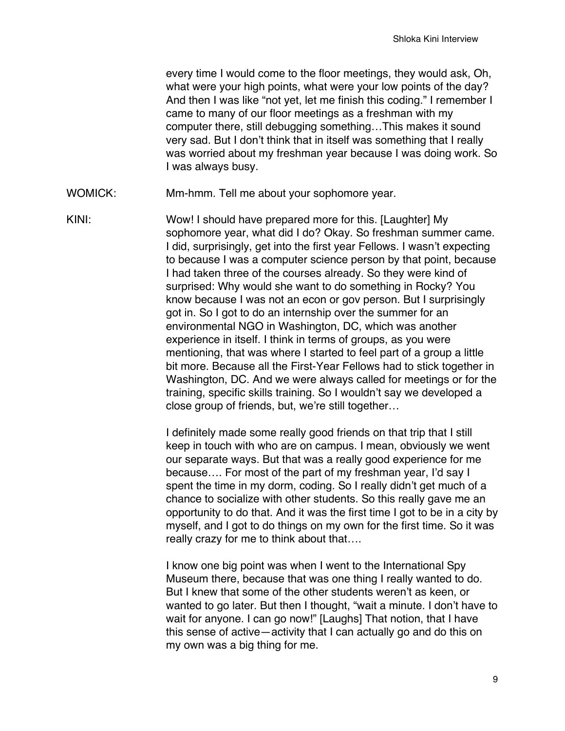every time I would come to the floor meetings, they would ask, Oh, what were your high points, what were your low points of the day? And then I was like "not yet, let me finish this coding." I remember I came to many of our floor meetings as a freshman with my computer there, still debugging something…This makes it sound very sad. But I don't think that in itself was something that I really was worried about my freshman year because I was doing work. So I was always busy.

WOMICK: Mm-hmm. Tell me about your sophomore year.

KINI: Wow! I should have prepared more for this. [Laughter] My sophomore year, what did I do? Okay. So freshman summer came. I did, surprisingly, get into the first year Fellows. I wasn't expecting to because I was a computer science person by that point, because I had taken three of the courses already. So they were kind of surprised: Why would she want to do something in Rocky? You know because I was not an econ or gov person. But I surprisingly got in. So I got to do an internship over the summer for an environmental NGO in Washington, DC, which was another experience in itself. I think in terms of groups, as you were mentioning, that was where I started to feel part of a group a little bit more. Because all the First-Year Fellows had to stick together in Washington, DC. And we were always called for meetings or for the training, specific skills training. So I wouldn't say we developed a close group of friends, but, we're still together…

> I definitely made some really good friends on that trip that I still keep in touch with who are on campus. I mean, obviously we went our separate ways. But that was a really good experience for me because…. For most of the part of my freshman year, I'd say I spent the time in my dorm, coding. So I really didn't get much of a chance to socialize with other students. So this really gave me an opportunity to do that. And it was the first time I got to be in a city by myself, and I got to do things on my own for the first time. So it was really crazy for me to think about that….

> I know one big point was when I went to the International Spy Museum there, because that was one thing I really wanted to do. But I knew that some of the other students weren't as keen, or wanted to go later. But then I thought, "wait a minute. I don't have to wait for anyone. I can go now!" [Laughs] That notion, that I have this sense of active—activity that I can actually go and do this on my own was a big thing for me.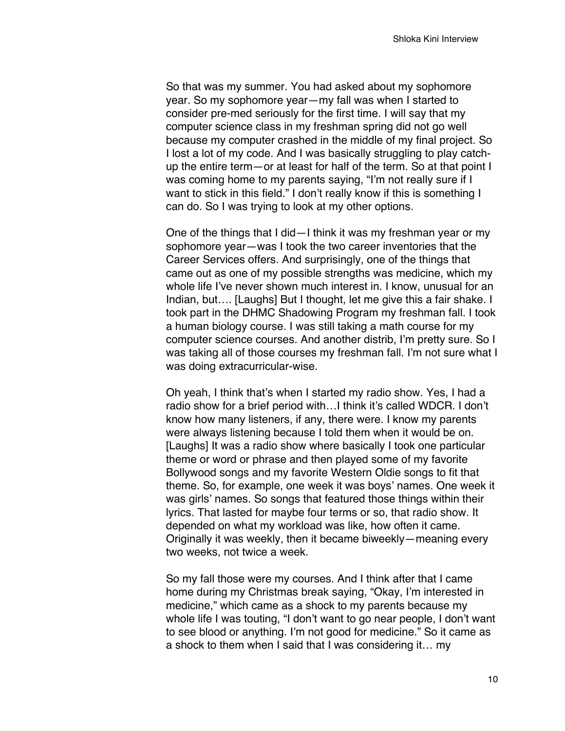So that was my summer. You had asked about my sophomore year. So my sophomore year—my fall was when I started to consider pre-med seriously for the first time. I will say that my computer science class in my freshman spring did not go well because my computer crashed in the middle of my final project. So I lost a lot of my code. And I was basically struggling to play catchup the entire term—or at least for half of the term. So at that point I was coming home to my parents saying, "I'm not really sure if I want to stick in this field." I don't really know if this is something I can do. So I was trying to look at my other options.

One of the things that I did—I think it was my freshman year or my sophomore year—was I took the two career inventories that the Career Services offers. And surprisingly, one of the things that came out as one of my possible strengths was medicine, which my whole life I've never shown much interest in. I know, unusual for an Indian, but…. [Laughs] But I thought, let me give this a fair shake. I took part in the DHMC Shadowing Program my freshman fall. I took a human biology course. I was still taking a math course for my computer science courses. And another distrib, I'm pretty sure. So I was taking all of those courses my freshman fall. I'm not sure what I was doing extracurricular-wise.

Oh yeah, I think that's when I started my radio show. Yes, I had a radio show for a brief period with…I think it's called WDCR. I don't know how many listeners, if any, there were. I know my parents were always listening because I told them when it would be on. [Laughs] It was a radio show where basically I took one particular theme or word or phrase and then played some of my favorite Bollywood songs and my favorite Western Oldie songs to fit that theme. So, for example, one week it was boys' names. One week it was girls' names. So songs that featured those things within their lyrics. That lasted for maybe four terms or so, that radio show. It depended on what my workload was like, how often it came. Originally it was weekly, then it became biweekly—meaning every two weeks, not twice a week.

So my fall those were my courses. And I think after that I came home during my Christmas break saying, "Okay, I'm interested in medicine," which came as a shock to my parents because my whole life I was touting, "I don't want to go near people, I don't want to see blood or anything. I'm not good for medicine." So it came as a shock to them when I said that I was considering it… my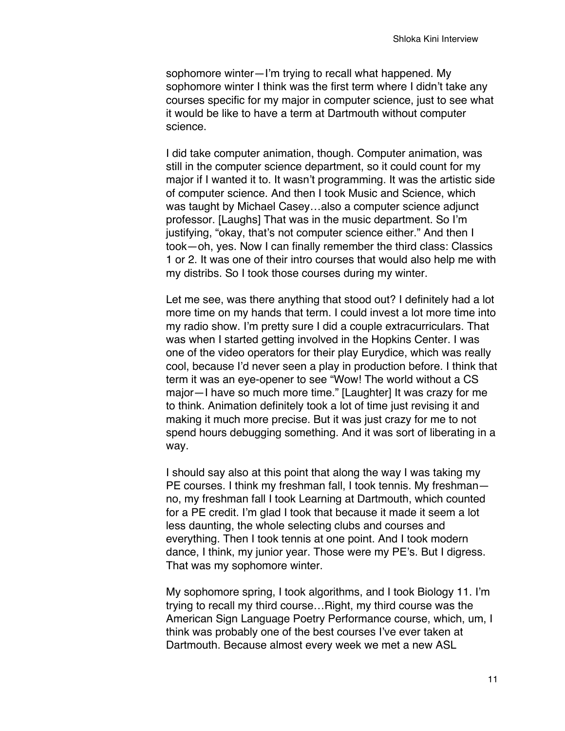sophomore winter—I'm trying to recall what happened. My sophomore winter I think was the first term where I didn't take any courses specific for my major in computer science, just to see what it would be like to have a term at Dartmouth without computer science.

I did take computer animation, though. Computer animation, was still in the computer science department, so it could count for my major if I wanted it to. It wasn't programming. It was the artistic side of computer science. And then I took Music and Science, which was taught by Michael Casey…also a computer science adjunct professor. [Laughs] That was in the music department. So I'm justifying, "okay, that's not computer science either." And then I took—oh, yes. Now I can finally remember the third class: Classics 1 or 2. It was one of their intro courses that would also help me with my distribs. So I took those courses during my winter.

Let me see, was there anything that stood out? I definitely had a lot more time on my hands that term. I could invest a lot more time into my radio show. I'm pretty sure I did a couple extracurriculars. That was when I started getting involved in the Hopkins Center. I was one of the video operators for their play Eurydice, which was really cool, because I'd never seen a play in production before. I think that term it was an eye-opener to see "Wow! The world without a CS major—I have so much more time." [Laughter] It was crazy for me to think. Animation definitely took a lot of time just revising it and making it much more precise. But it was just crazy for me to not spend hours debugging something. And it was sort of liberating in a way.

I should say also at this point that along the way I was taking my PE courses. I think my freshman fall, I took tennis. My freshman no, my freshman fall I took Learning at Dartmouth, which counted for a PE credit. I'm glad I took that because it made it seem a lot less daunting, the whole selecting clubs and courses and everything. Then I took tennis at one point. And I took modern dance, I think, my junior year. Those were my PE's. But I digress. That was my sophomore winter.

My sophomore spring, I took algorithms, and I took Biology 11. I'm trying to recall my third course…Right, my third course was the American Sign Language Poetry Performance course, which, um, I think was probably one of the best courses I've ever taken at Dartmouth. Because almost every week we met a new ASL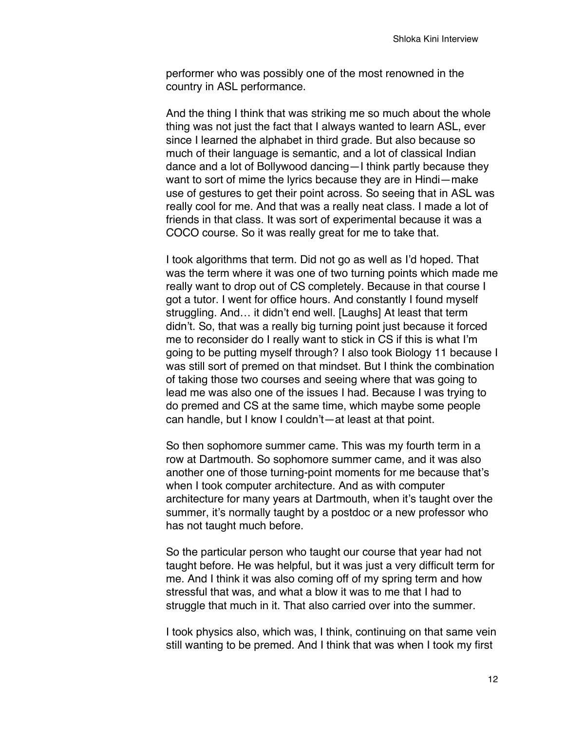performer who was possibly one of the most renowned in the country in ASL performance.

And the thing I think that was striking me so much about the whole thing was not just the fact that I always wanted to learn ASL, ever since I learned the alphabet in third grade. But also because so much of their language is semantic, and a lot of classical Indian dance and a lot of Bollywood dancing—I think partly because they want to sort of mime the lyrics because they are in Hindi—make use of gestures to get their point across. So seeing that in ASL was really cool for me. And that was a really neat class. I made a lot of friends in that class. It was sort of experimental because it was a COCO course. So it was really great for me to take that.

I took algorithms that term. Did not go as well as I'd hoped. That was the term where it was one of two turning points which made me really want to drop out of CS completely. Because in that course I got a tutor. I went for office hours. And constantly I found myself struggling. And… it didn't end well. [Laughs] At least that term didn't. So, that was a really big turning point just because it forced me to reconsider do I really want to stick in CS if this is what I'm going to be putting myself through? I also took Biology 11 because I was still sort of premed on that mindset. But I think the combination of taking those two courses and seeing where that was going to lead me was also one of the issues I had. Because I was trying to do premed and CS at the same time, which maybe some people can handle, but I know I couldn't—at least at that point.

So then sophomore summer came. This was my fourth term in a row at Dartmouth. So sophomore summer came, and it was also another one of those turning-point moments for me because that's when I took computer architecture. And as with computer architecture for many years at Dartmouth, when it's taught over the summer, it's normally taught by a postdoc or a new professor who has not taught much before.

So the particular person who taught our course that year had not taught before. He was helpful, but it was just a very difficult term for me. And I think it was also coming off of my spring term and how stressful that was, and what a blow it was to me that I had to struggle that much in it. That also carried over into the summer.

I took physics also, which was, I think, continuing on that same vein still wanting to be premed. And I think that was when I took my first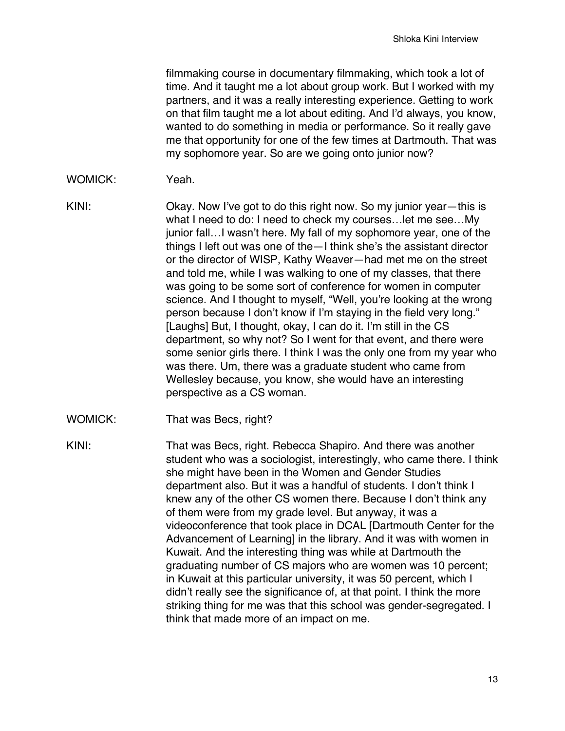filmmaking course in documentary filmmaking, which took a lot of time. And it taught me a lot about group work. But I worked with my partners, and it was a really interesting experience. Getting to work on that film taught me a lot about editing. And I'd always, you know, wanted to do something in media or performance. So it really gave me that opportunity for one of the few times at Dartmouth. That was my sophomore year. So are we going onto junior now?

- WOMICK: Yeah
- KINI: Okay. Now I've got to do this right now. So my junior year—this is what I need to do: I need to check my courses…let me see…My junior fall…I wasn't here. My fall of my sophomore year, one of the things I left out was one of the—I think she's the assistant director or the director of WISP, Kathy Weaver—had met me on the street and told me, while I was walking to one of my classes, that there was going to be some sort of conference for women in computer science. And I thought to myself, "Well, you're looking at the wrong person because I don't know if I'm staying in the field very long." [Laughs] But, I thought, okay, I can do it. I'm still in the CS department, so why not? So I went for that event, and there were some senior girls there. I think I was the only one from my year who was there. Um, there was a graduate student who came from Wellesley because, you know, she would have an interesting perspective as a CS woman.
- WOMICK: That was Becs, right?

KINI: That was Becs, right. Rebecca Shapiro. And there was another student who was a sociologist, interestingly, who came there. I think she might have been in the Women and Gender Studies department also. But it was a handful of students. I don't think I knew any of the other CS women there. Because I don't think any of them were from my grade level. But anyway, it was a videoconference that took place in DCAL [Dartmouth Center for the Advancement of Learning] in the library. And it was with women in Kuwait. And the interesting thing was while at Dartmouth the graduating number of CS majors who are women was 10 percent; in Kuwait at this particular university, it was 50 percent, which I didn't really see the significance of, at that point. I think the more striking thing for me was that this school was gender-segregated. I think that made more of an impact on me.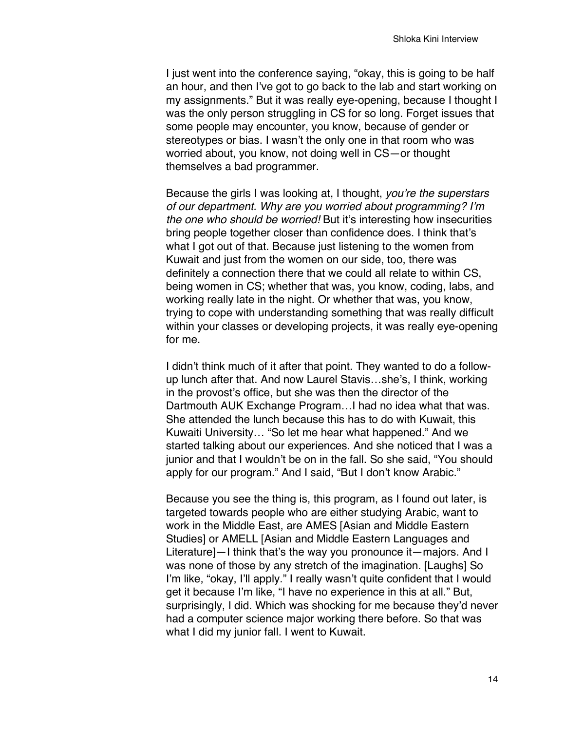I just went into the conference saying, "okay, this is going to be half an hour, and then I've got to go back to the lab and start working on my assignments." But it was really eye-opening, because I thought I was the only person struggling in CS for so long. Forget issues that some people may encounter, you know, because of gender or stereotypes or bias. I wasn't the only one in that room who was worried about, you know, not doing well in CS—or thought themselves a bad programmer.

Because the girls I was looking at, I thought, *you're the superstars of our department. Why are you worried about programming? I'm the one who should be worried!* But it's interesting how insecurities bring people together closer than confidence does. I think that's what I got out of that. Because just listening to the women from Kuwait and just from the women on our side, too, there was definitely a connection there that we could all relate to within CS, being women in CS; whether that was, you know, coding, labs, and working really late in the night. Or whether that was, you know, trying to cope with understanding something that was really difficult within your classes or developing projects, it was really eye-opening for me.

I didn't think much of it after that point. They wanted to do a followup lunch after that. And now Laurel Stavis…she's, I think, working in the provost's office, but she was then the director of the Dartmouth AUK Exchange Program…I had no idea what that was. She attended the lunch because this has to do with Kuwait, this Kuwaiti University… "So let me hear what happened." And we started talking about our experiences. And she noticed that I was a junior and that I wouldn't be on in the fall. So she said, "You should apply for our program." And I said, "But I don't know Arabic."

Because you see the thing is, this program, as I found out later, is targeted towards people who are either studying Arabic, want to work in the Middle East, are AMES [Asian and Middle Eastern Studies] or AMELL [Asian and Middle Eastern Languages and Literature]—I think that's the way you pronounce it—majors. And I was none of those by any stretch of the imagination. [Laughs] So I'm like, "okay, I'll apply." I really wasn't quite confident that I would get it because I'm like, "I have no experience in this at all." But, surprisingly, I did. Which was shocking for me because they'd never had a computer science major working there before. So that was what I did my junior fall. I went to Kuwait.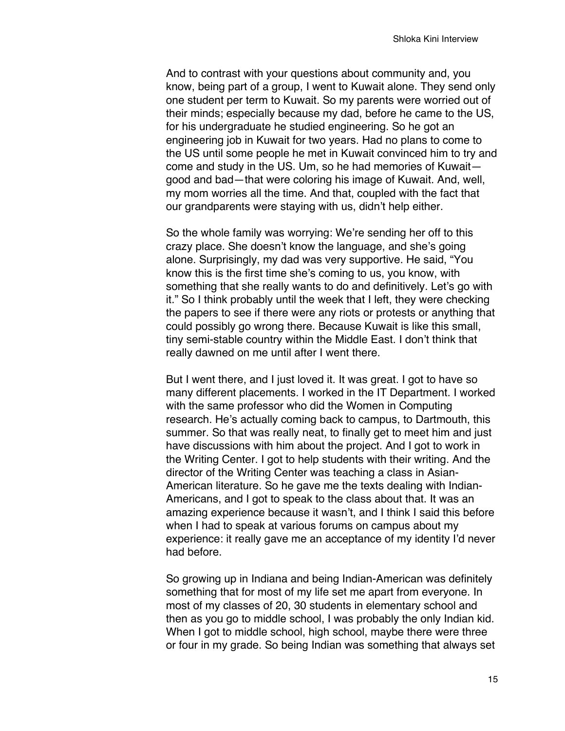And to contrast with your questions about community and, you know, being part of a group, I went to Kuwait alone. They send only one student per term to Kuwait. So my parents were worried out of their minds; especially because my dad, before he came to the US, for his undergraduate he studied engineering. So he got an engineering job in Kuwait for two years. Had no plans to come to the US until some people he met in Kuwait convinced him to try and come and study in the US. Um, so he had memories of Kuwait good and bad—that were coloring his image of Kuwait. And, well, my mom worries all the time. And that, coupled with the fact that our grandparents were staying with us, didn't help either.

So the whole family was worrying: We're sending her off to this crazy place. She doesn't know the language, and she's going alone. Surprisingly, my dad was very supportive. He said, "You know this is the first time she's coming to us, you know, with something that she really wants to do and definitively. Let's go with it." So I think probably until the week that I left, they were checking the papers to see if there were any riots or protests or anything that could possibly go wrong there. Because Kuwait is like this small, tiny semi-stable country within the Middle East. I don't think that really dawned on me until after I went there.

But I went there, and I just loved it. It was great. I got to have so many different placements. I worked in the IT Department. I worked with the same professor who did the Women in Computing research. He's actually coming back to campus, to Dartmouth, this summer. So that was really neat, to finally get to meet him and just have discussions with him about the project. And I got to work in the Writing Center. I got to help students with their writing. And the director of the Writing Center was teaching a class in Asian-American literature. So he gave me the texts dealing with Indian-Americans, and I got to speak to the class about that. It was an amazing experience because it wasn't, and I think I said this before when I had to speak at various forums on campus about my experience: it really gave me an acceptance of my identity I'd never had before.

So growing up in Indiana and being Indian-American was definitely something that for most of my life set me apart from everyone. In most of my classes of 20, 30 students in elementary school and then as you go to middle school, I was probably the only Indian kid. When I got to middle school, high school, maybe there were three or four in my grade. So being Indian was something that always set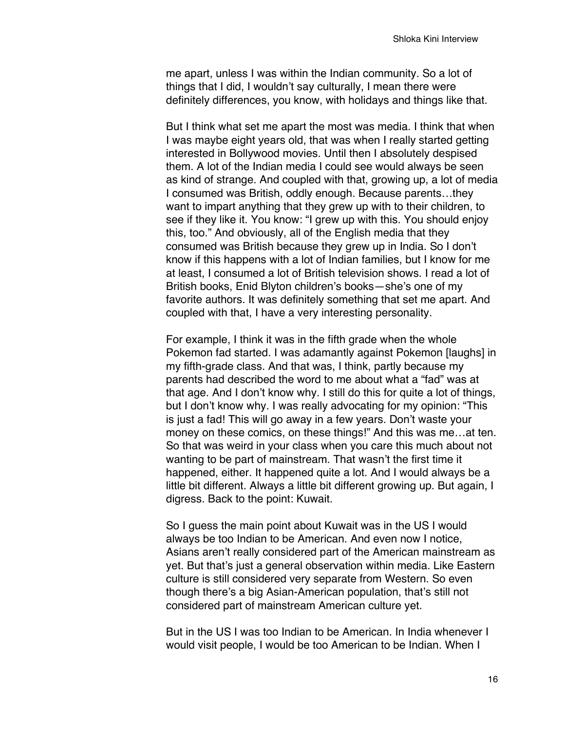me apart, unless I was within the Indian community. So a lot of things that I did, I wouldn't say culturally, I mean there were definitely differences, you know, with holidays and things like that.

But I think what set me apart the most was media. I think that when I was maybe eight years old, that was when I really started getting interested in Bollywood movies. Until then I absolutely despised them. A lot of the Indian media I could see would always be seen as kind of strange. And coupled with that, growing up, a lot of media I consumed was British, oddly enough. Because parents…they want to impart anything that they grew up with to their children, to see if they like it. You know: "I grew up with this. You should enjoy this, too." And obviously, all of the English media that they consumed was British because they grew up in India. So I don't know if this happens with a lot of Indian families, but I know for me at least, I consumed a lot of British television shows. I read a lot of British books, Enid Blyton children's books—she's one of my favorite authors. It was definitely something that set me apart. And coupled with that, I have a very interesting personality.

For example, I think it was in the fifth grade when the whole Pokemon fad started. I was adamantly against Pokemon [laughs] in my fifth-grade class. And that was, I think, partly because my parents had described the word to me about what a "fad" was at that age. And I don't know why. I still do this for quite a lot of things, but I don't know why. I was really advocating for my opinion: "This is just a fad! This will go away in a few years. Don't waste your money on these comics, on these things!" And this was me…at ten. So that was weird in your class when you care this much about not wanting to be part of mainstream. That wasn't the first time it happened, either. It happened quite a lot. And I would always be a little bit different. Always a little bit different growing up. But again, I digress. Back to the point: Kuwait.

So I guess the main point about Kuwait was in the US I would always be too Indian to be American. And even now I notice, Asians aren't really considered part of the American mainstream as yet. But that's just a general observation within media. Like Eastern culture is still considered very separate from Western. So even though there's a big Asian-American population, that's still not considered part of mainstream American culture yet.

But in the US I was too Indian to be American. In India whenever I would visit people, I would be too American to be Indian. When I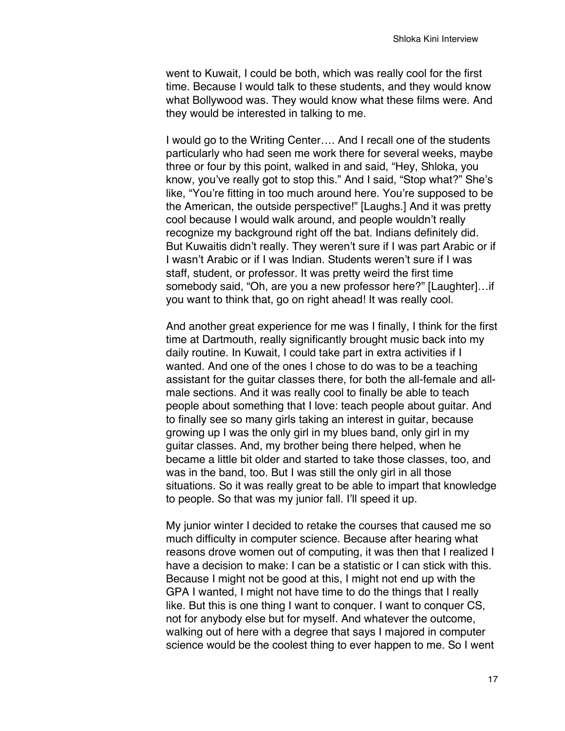went to Kuwait, I could be both, which was really cool for the first time. Because I would talk to these students, and they would know what Bollywood was. They would know what these films were. And they would be interested in talking to me.

I would go to the Writing Center…. And I recall one of the students particularly who had seen me work there for several weeks, maybe three or four by this point, walked in and said, "Hey, Shloka, you know, you've really got to stop this." And I said, "Stop what?" She's like, "You're fitting in too much around here. You're supposed to be the American, the outside perspective!" [Laughs.] And it was pretty cool because I would walk around, and people wouldn't really recognize my background right off the bat. Indians definitely did. But Kuwaitis didn't really. They weren't sure if I was part Arabic or if I wasn't Arabic or if I was Indian. Students weren't sure if I was staff, student, or professor. It was pretty weird the first time somebody said, "Oh, are you a new professor here?" [Laughter]…if you want to think that, go on right ahead! It was really cool.

And another great experience for me was I finally, I think for the first time at Dartmouth, really significantly brought music back into my daily routine. In Kuwait, I could take part in extra activities if I wanted. And one of the ones I chose to do was to be a teaching assistant for the guitar classes there, for both the all-female and allmale sections. And it was really cool to finally be able to teach people about something that I love: teach people about guitar. And to finally see so many girls taking an interest in guitar, because growing up I was the only girl in my blues band, only girl in my guitar classes. And, my brother being there helped, when he became a little bit older and started to take those classes, too, and was in the band, too. But I was still the only girl in all those situations. So it was really great to be able to impart that knowledge to people. So that was my junior fall. I'll speed it up.

My junior winter I decided to retake the courses that caused me so much difficulty in computer science. Because after hearing what reasons drove women out of computing, it was then that I realized I have a decision to make: I can be a statistic or I can stick with this. Because I might not be good at this, I might not end up with the GPA I wanted, I might not have time to do the things that I really like. But this is one thing I want to conquer. I want to conquer CS, not for anybody else but for myself. And whatever the outcome, walking out of here with a degree that says I majored in computer science would be the coolest thing to ever happen to me. So I went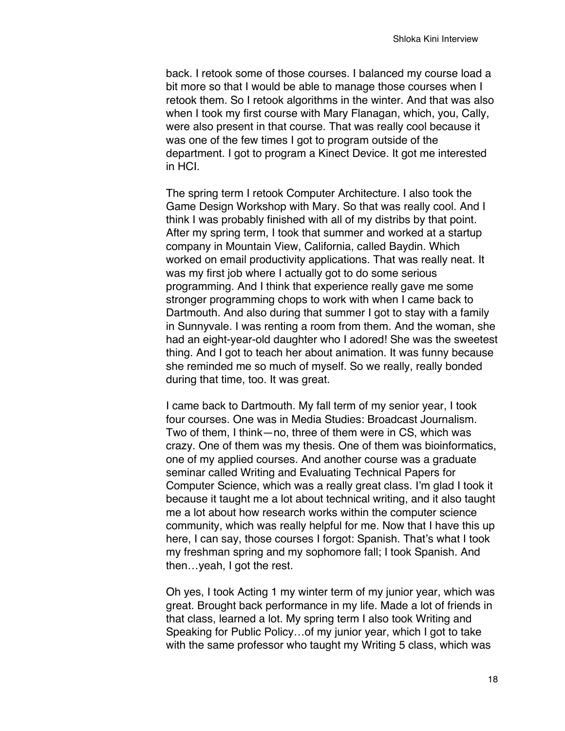back. I retook some of those courses. I balanced my course load a bit more so that I would be able to manage those courses when I retook them. So I retook algorithms in the winter. And that was also when I took my first course with Mary Flanagan, which, you, Cally, were also present in that course. That was really cool because it was one of the few times I got to program outside of the department. I got to program a Kinect Device. It got me interested in HCI.

The spring term I retook Computer Architecture. I also took the Game Design Workshop with Mary. So that was really cool. And I think I was probably finished with all of my distribs by that point. After my spring term, I took that summer and worked at a startup company in Mountain View, California, called Baydin. Which worked on email productivity applications. That was really neat. It was my first job where I actually got to do some serious programming. And I think that experience really gave me some stronger programming chops to work with when I came back to Dartmouth. And also during that summer I got to stay with a family in Sunnyvale. I was renting a room from them. And the woman, she had an eight-year-old daughter who I adored! She was the sweetest thing. And I got to teach her about animation. It was funny because she reminded me so much of myself. So we really, really bonded during that time, too. It was great.

I came back to Dartmouth. My fall term of my senior year, I took four courses. One was in Media Studies: Broadcast Journalism. Two of them, I think—no, three of them were in CS, which was crazy. One of them was my thesis. One of them was bioinformatics, one of my applied courses. And another course was a graduate seminar called Writing and Evaluating Technical Papers for Computer Science, which was a really great class. I'm glad I took it because it taught me a lot about technical writing, and it also taught me a lot about how research works within the computer science community, which was really helpful for me. Now that I have this up here, I can say, those courses I forgot: Spanish. That's what I took my freshman spring and my sophomore fall; I took Spanish. And then…yeah, I got the rest.

Oh yes, I took Acting 1 my winter term of my junior year, which was great. Brought back performance in my life. Made a lot of friends in that class, learned a lot. My spring term I also took Writing and Speaking for Public Policy…of my junior year, which I got to take with the same professor who taught my Writing 5 class, which was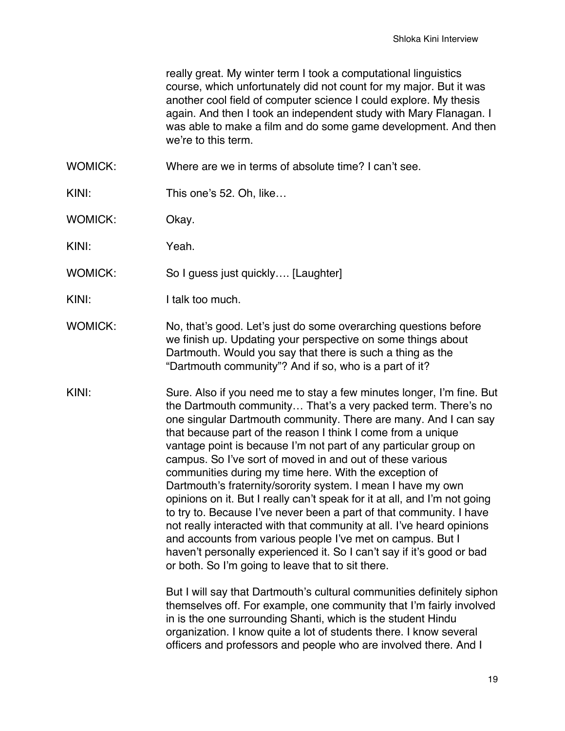really great. My winter term I took a computational linguistics course, which unfortunately did not count for my major. But it was another cool field of computer science I could explore. My thesis again. And then I took an independent study with Mary Flanagan. I was able to make a film and do some game development. And then we're to this term.

WOMICK: Where are we in terms of absolute time? I can't see.

KINI: This one's 52. Oh, like...

WOMICK: Okay.

KINI: Yeah.

WOMICK: So I guess just quickly.... [Laughter]

KINI: I talk too much.

WOMICK: No, that's good. Let's just do some overarching questions before we finish up. Updating your perspective on some things about Dartmouth. Would you say that there is such a thing as the "Dartmouth community"? And if so, who is a part of it?

KINI: Sure. Also if you need me to stay a few minutes longer, I'm fine. But the Dartmouth community… That's a very packed term. There's no one singular Dartmouth community. There are many. And I can say that because part of the reason I think I come from a unique vantage point is because I'm not part of any particular group on campus. So I've sort of moved in and out of these various communities during my time here. With the exception of Dartmouth's fraternity/sorority system. I mean I have my own opinions on it. But I really can't speak for it at all, and I'm not going to try to. Because I've never been a part of that community. I have not really interacted with that community at all. I've heard opinions and accounts from various people I've met on campus. But I haven't personally experienced it. So I can't say if it's good or bad or both. So I'm going to leave that to sit there.

> But I will say that Dartmouth's cultural communities definitely siphon themselves off. For example, one community that I'm fairly involved in is the one surrounding Shanti, which is the student Hindu organization. I know quite a lot of students there. I know several officers and professors and people who are involved there. And I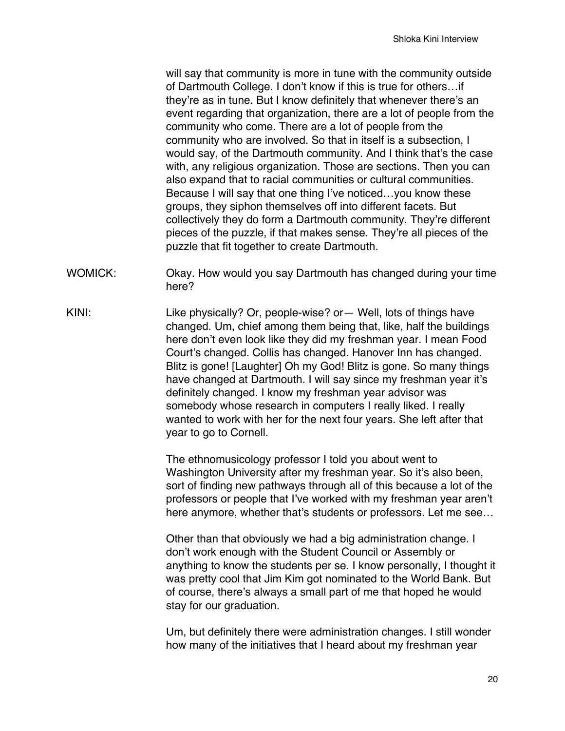will say that community is more in tune with the community outside of Dartmouth College. I don't know if this is true for others…if they're as in tune. But I know definitely that whenever there's an event regarding that organization, there are a lot of people from the community who come. There are a lot of people from the community who are involved. So that in itself is a subsection, I would say, of the Dartmouth community. And I think that's the case with, any religious organization. Those are sections. Then you can also expand that to racial communities or cultural communities. Because I will say that one thing I've noticed…you know these groups, they siphon themselves off into different facets. But collectively they do form a Dartmouth community. They're different pieces of the puzzle, if that makes sense. They're all pieces of the puzzle that fit together to create Dartmouth.

- WOMICK: Okay. How would you say Dartmouth has changed during your time here?
- KINI: Like physically? Or, people-wise? or— Well, lots of things have changed. Um, chief among them being that, like, half the buildings here don't even look like they did my freshman year. I mean Food Court's changed. Collis has changed. Hanover Inn has changed. Blitz is gone! [Laughter] Oh my God! Blitz is gone. So many things have changed at Dartmouth. I will say since my freshman year it's definitely changed. I know my freshman year advisor was somebody whose research in computers I really liked. I really wanted to work with her for the next four years. She left after that year to go to Cornell.

The ethnomusicology professor I told you about went to Washington University after my freshman year. So it's also been, sort of finding new pathways through all of this because a lot of the professors or people that I've worked with my freshman year aren't here anymore, whether that's students or professors. Let me see…

Other than that obviously we had a big administration change. I don't work enough with the Student Council or Assembly or anything to know the students per se. I know personally, I thought it was pretty cool that Jim Kim got nominated to the World Bank. But of course, there's always a small part of me that hoped he would stay for our graduation.

Um, but definitely there were administration changes. I still wonder how many of the initiatives that I heard about my freshman year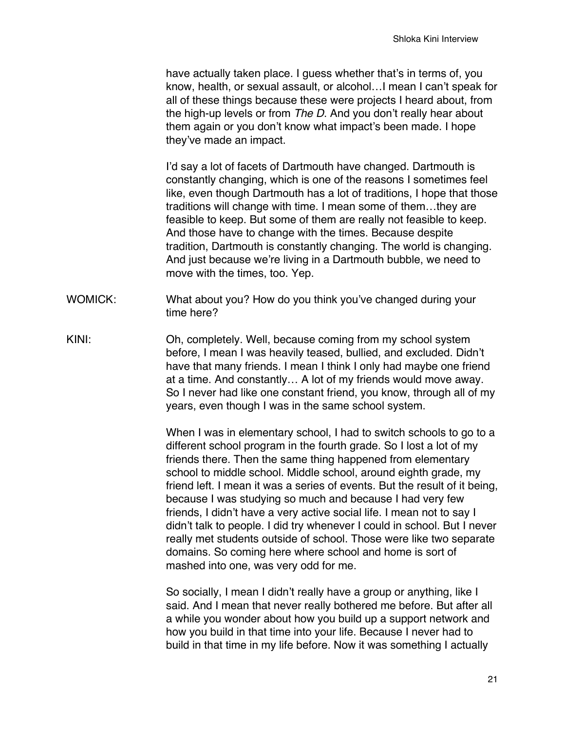have actually taken place. I guess whether that's in terms of, you know, health, or sexual assault, or alcohol…I mean I can't speak for all of these things because these were projects I heard about, from the high-up levels or from *The D*. And you don't really hear about them again or you don't know what impact's been made. I hope they've made an impact.

I'd say a lot of facets of Dartmouth have changed. Dartmouth is constantly changing, which is one of the reasons I sometimes feel like, even though Dartmouth has a lot of traditions, I hope that those traditions will change with time. I mean some of them…they are feasible to keep. But some of them are really not feasible to keep. And those have to change with the times. Because despite tradition, Dartmouth is constantly changing. The world is changing. And just because we're living in a Dartmouth bubble, we need to move with the times, too. Yep.

- WOMICK: What about you? How do you think you've changed during your time here?
- KINI: Oh, completely. Well, because coming from my school system before, I mean I was heavily teased, bullied, and excluded. Didn't have that many friends. I mean I think I only had maybe one friend at a time. And constantly… A lot of my friends would move away. So I never had like one constant friend, you know, through all of my years, even though I was in the same school system.

When I was in elementary school, I had to switch schools to go to a different school program in the fourth grade. So I lost a lot of my friends there. Then the same thing happened from elementary school to middle school. Middle school, around eighth grade, my friend left. I mean it was a series of events. But the result of it being, because I was studying so much and because I had very few friends, I didn't have a very active social life. I mean not to say I didn't talk to people. I did try whenever I could in school. But I never really met students outside of school. Those were like two separate domains. So coming here where school and home is sort of mashed into one, was very odd for me.

So socially, I mean I didn't really have a group or anything, like I said. And I mean that never really bothered me before. But after all a while you wonder about how you build up a support network and how you build in that time into your life. Because I never had to build in that time in my life before. Now it was something I actually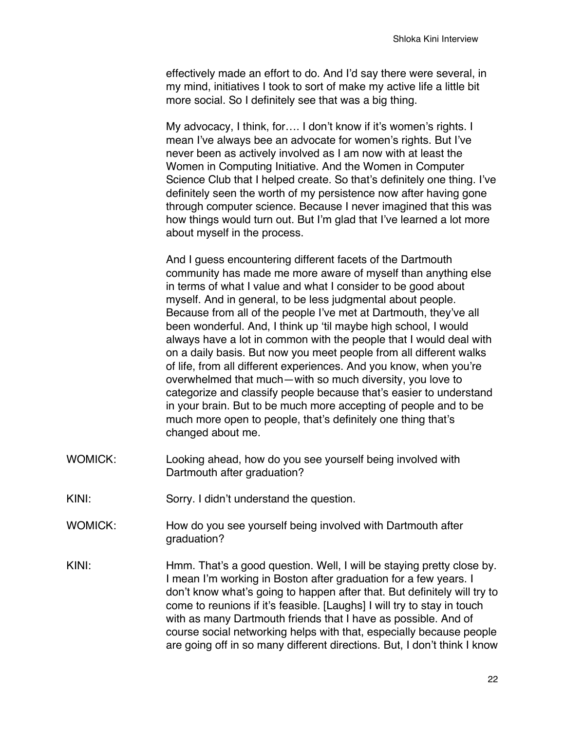effectively made an effort to do. And I'd say there were several, in my mind, initiatives I took to sort of make my active life a little bit more social. So I definitely see that was a big thing.

My advocacy, I think, for…. I don't know if it's women's rights. I mean I've always bee an advocate for women's rights. But I've never been as actively involved as I am now with at least the Women in Computing Initiative. And the Women in Computer Science Club that I helped create. So that's definitely one thing. I've definitely seen the worth of my persistence now after having gone through computer science. Because I never imagined that this was how things would turn out. But I'm glad that I've learned a lot more about myself in the process.

And I guess encountering different facets of the Dartmouth community has made me more aware of myself than anything else in terms of what I value and what I consider to be good about myself. And in general, to be less judgmental about people. Because from all of the people I've met at Dartmouth, they've all been wonderful. And, I think up 'til maybe high school, I would always have a lot in common with the people that I would deal with on a daily basis. But now you meet people from all different walks of life, from all different experiences. And you know, when you're overwhelmed that much—with so much diversity, you love to categorize and classify people because that's easier to understand in your brain. But to be much more accepting of people and to be much more open to people, that's definitely one thing that's changed about me.

- WOMICK: Looking ahead, how do you see yourself being involved with Dartmouth after graduation?
- KINI: Sorry. I didn't understand the question.
- WOMICK: How do you see yourself being involved with Dartmouth after graduation?
- KINI: Hmm. That's a good question. Well, I will be staying pretty close by. I mean I'm working in Boston after graduation for a few years. I don't know what's going to happen after that. But definitely will try to come to reunions if it's feasible. [Laughs] I will try to stay in touch with as many Dartmouth friends that I have as possible. And of course social networking helps with that, especially because people are going off in so many different directions. But, I don't think I know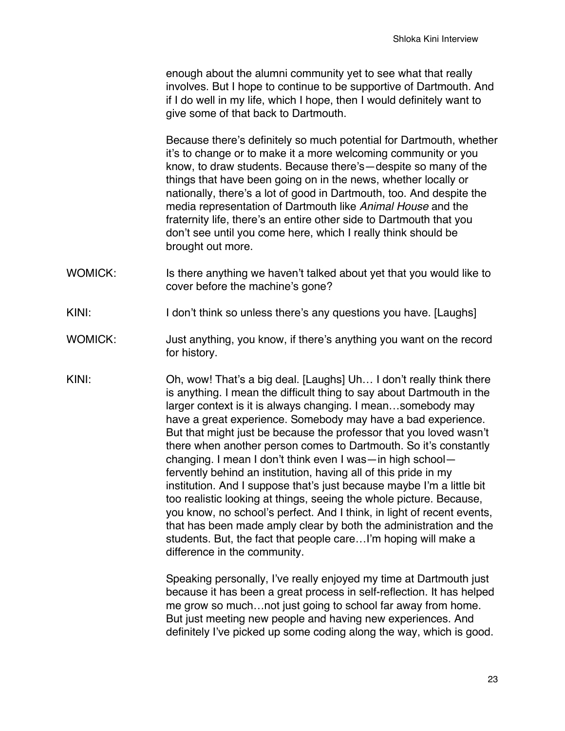enough about the alumni community yet to see what that really involves. But I hope to continue to be supportive of Dartmouth. And if I do well in my life, which I hope, then I would definitely want to give some of that back to Dartmouth.

Because there's definitely so much potential for Dartmouth, whether it's to change or to make it a more welcoming community or you know, to draw students. Because there's—despite so many of the things that have been going on in the news, whether locally or nationally, there's a lot of good in Dartmouth, too. And despite the media representation of Dartmouth like *Animal House* and the fraternity life, there's an entire other side to Dartmouth that you don't see until you come here, which I really think should be brought out more.

- WOMICK: Is there anything we haven't talked about yet that you would like to cover before the machine's gone?
- KINI: I don't think so unless there's any questions you have. [Laughs]
- WOMICK: Just anything, you know, if there's anything you want on the record for history.
- KINI: Oh, wow! That's a big deal. [Laughs] Uh… I don't really think there is anything. I mean the difficult thing to say about Dartmouth in the larger context is it is always changing. I mean…somebody may have a great experience. Somebody may have a bad experience. But that might just be because the professor that you loved wasn't there when another person comes to Dartmouth. So it's constantly changing. I mean I don't think even I was—in high school fervently behind an institution, having all of this pride in my institution. And I suppose that's just because maybe I'm a little bit too realistic looking at things, seeing the whole picture. Because, you know, no school's perfect. And I think, in light of recent events, that has been made amply clear by both the administration and the students. But, the fact that people care…I'm hoping will make a difference in the community.

Speaking personally, I've really enjoyed my time at Dartmouth just because it has been a great process in self-reflection. It has helped me grow so much…not just going to school far away from home. But iust meeting new people and having new experiences. And definitely I've picked up some coding along the way, which is good.